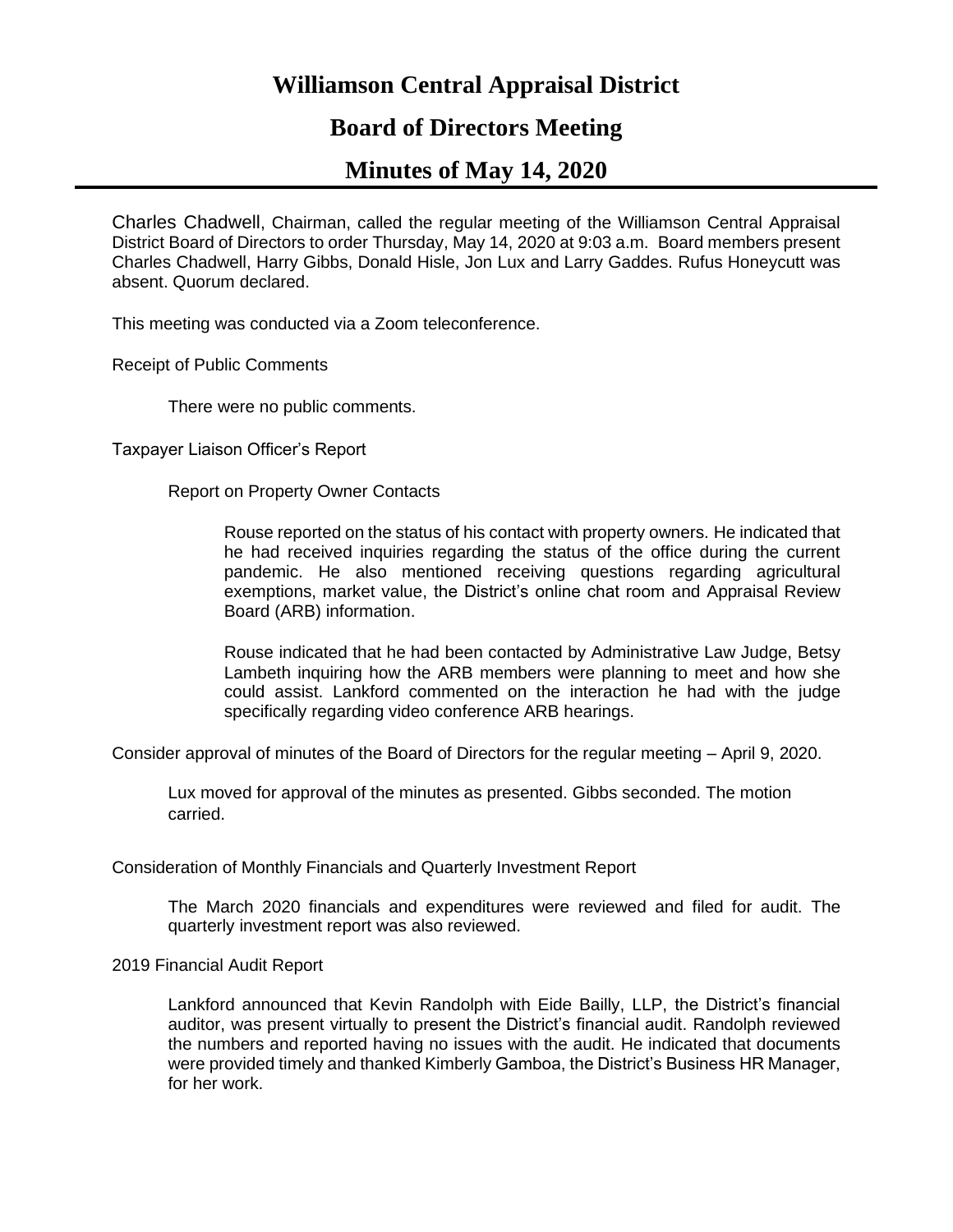# **Williamson Central Appraisal District**

## **Board of Directors Meeting**

# **Minutes of May 14, 2020**

Charles Chadwell, Chairman, called the regular meeting of the Williamson Central Appraisal District Board of Directors to order Thursday, May 14, 2020 at 9:03 a.m. Board members present Charles Chadwell, Harry Gibbs, Donald Hisle, Jon Lux and Larry Gaddes. Rufus Honeycutt was absent. Quorum declared.

This meeting was conducted via a Zoom teleconference.

Receipt of Public Comments

There were no public comments.

Taxpayer Liaison Officer's Report

Report on Property Owner Contacts

Rouse reported on the status of his contact with property owners. He indicated that he had received inquiries regarding the status of the office during the current pandemic. He also mentioned receiving questions regarding agricultural exemptions, market value, the District's online chat room and Appraisal Review Board (ARB) information.

Rouse indicated that he had been contacted by Administrative Law Judge, Betsy Lambeth inquiring how the ARB members were planning to meet and how she could assist. Lankford commented on the interaction he had with the judge specifically regarding video conference ARB hearings.

Consider approval of minutes of the Board of Directors for the regular meeting – April 9, 2020.

Lux moved for approval of the minutes as presented. Gibbs seconded. The motion carried.

Consideration of Monthly Financials and Quarterly Investment Report

The March 2020 financials and expenditures were reviewed and filed for audit. The quarterly investment report was also reviewed.

2019 Financial Audit Report

Lankford announced that Kevin Randolph with Eide Bailly, LLP, the District's financial auditor, was present virtually to present the District's financial audit. Randolph reviewed the numbers and reported having no issues with the audit. He indicated that documents were provided timely and thanked Kimberly Gamboa, the District's Business HR Manager, for her work.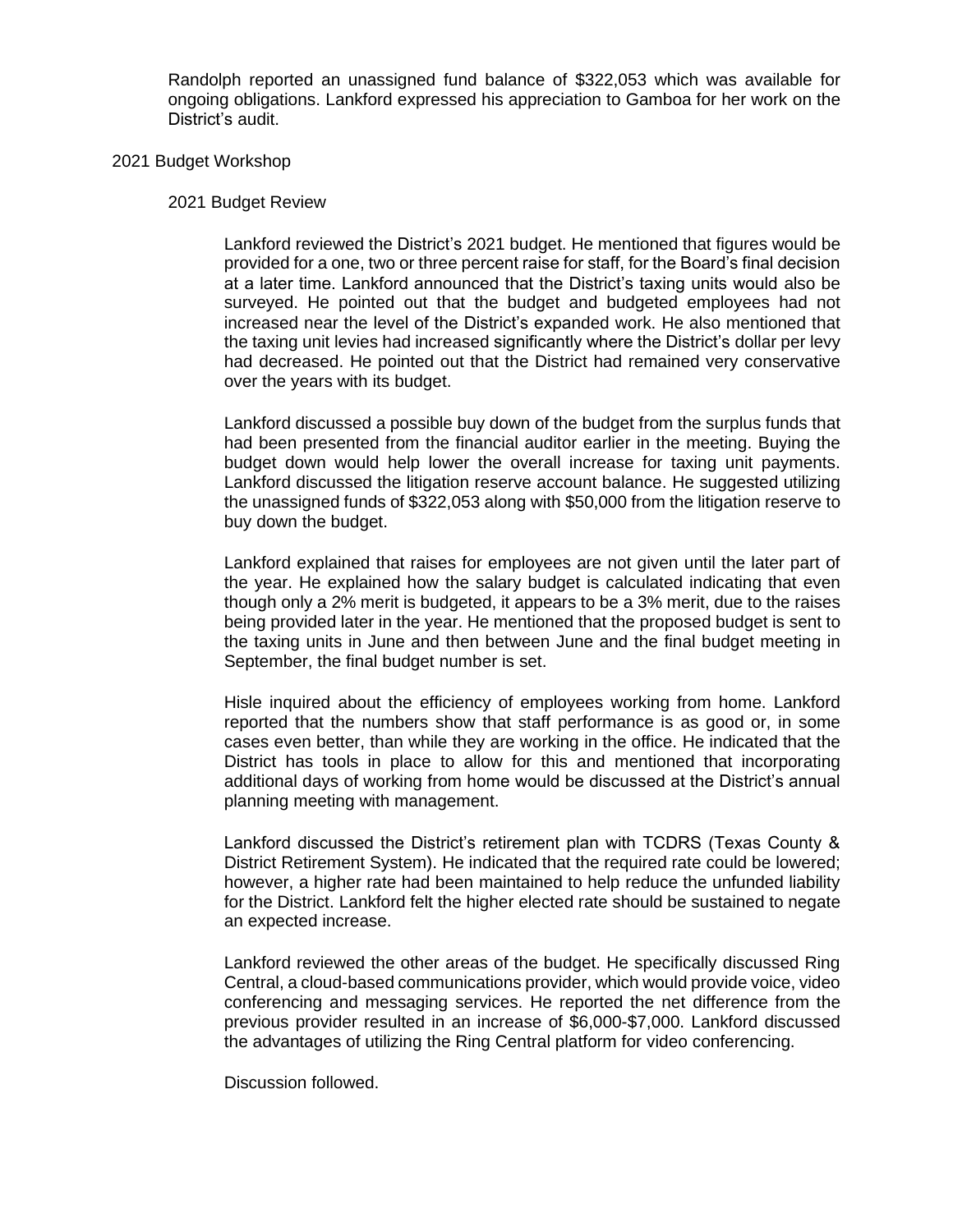Randolph reported an unassigned fund balance of \$322,053 which was available for ongoing obligations. Lankford expressed his appreciation to Gamboa for her work on the District's audit.

#### 2021 Budget Workshop

#### 2021 Budget Review

Lankford reviewed the District's 2021 budget. He mentioned that figures would be provided for a one, two or three percent raise for staff, for the Board's final decision at a later time. Lankford announced that the District's taxing units would also be surveyed. He pointed out that the budget and budgeted employees had not increased near the level of the District's expanded work. He also mentioned that the taxing unit levies had increased significantly where the District's dollar per levy had decreased. He pointed out that the District had remained very conservative over the years with its budget.

Lankford discussed a possible buy down of the budget from the surplus funds that had been presented from the financial auditor earlier in the meeting. Buying the budget down would help lower the overall increase for taxing unit payments. Lankford discussed the litigation reserve account balance. He suggested utilizing the unassigned funds of \$322,053 along with \$50,000 from the litigation reserve to buy down the budget.

Lankford explained that raises for employees are not given until the later part of the year. He explained how the salary budget is calculated indicating that even though only a 2% merit is budgeted, it appears to be a 3% merit, due to the raises being provided later in the year. He mentioned that the proposed budget is sent to the taxing units in June and then between June and the final budget meeting in September, the final budget number is set.

Hisle inquired about the efficiency of employees working from home. Lankford reported that the numbers show that staff performance is as good or, in some cases even better, than while they are working in the office. He indicated that the District has tools in place to allow for this and mentioned that incorporating additional days of working from home would be discussed at the District's annual planning meeting with management.

Lankford discussed the District's retirement plan with TCDRS (Texas County & District Retirement System). He indicated that the required rate could be lowered; however, a higher rate had been maintained to help reduce the unfunded liability for the District. Lankford felt the higher elected rate should be sustained to negate an expected increase.

Lankford reviewed the other areas of the budget. He specifically discussed Ring Central, a cloud-based communications provider, which would provide voice, video conferencing and messaging services. He reported the net difference from the previous provider resulted in an increase of \$6,000-\$7,000. Lankford discussed the advantages of utilizing the Ring Central platform for video conferencing.

Discussion followed.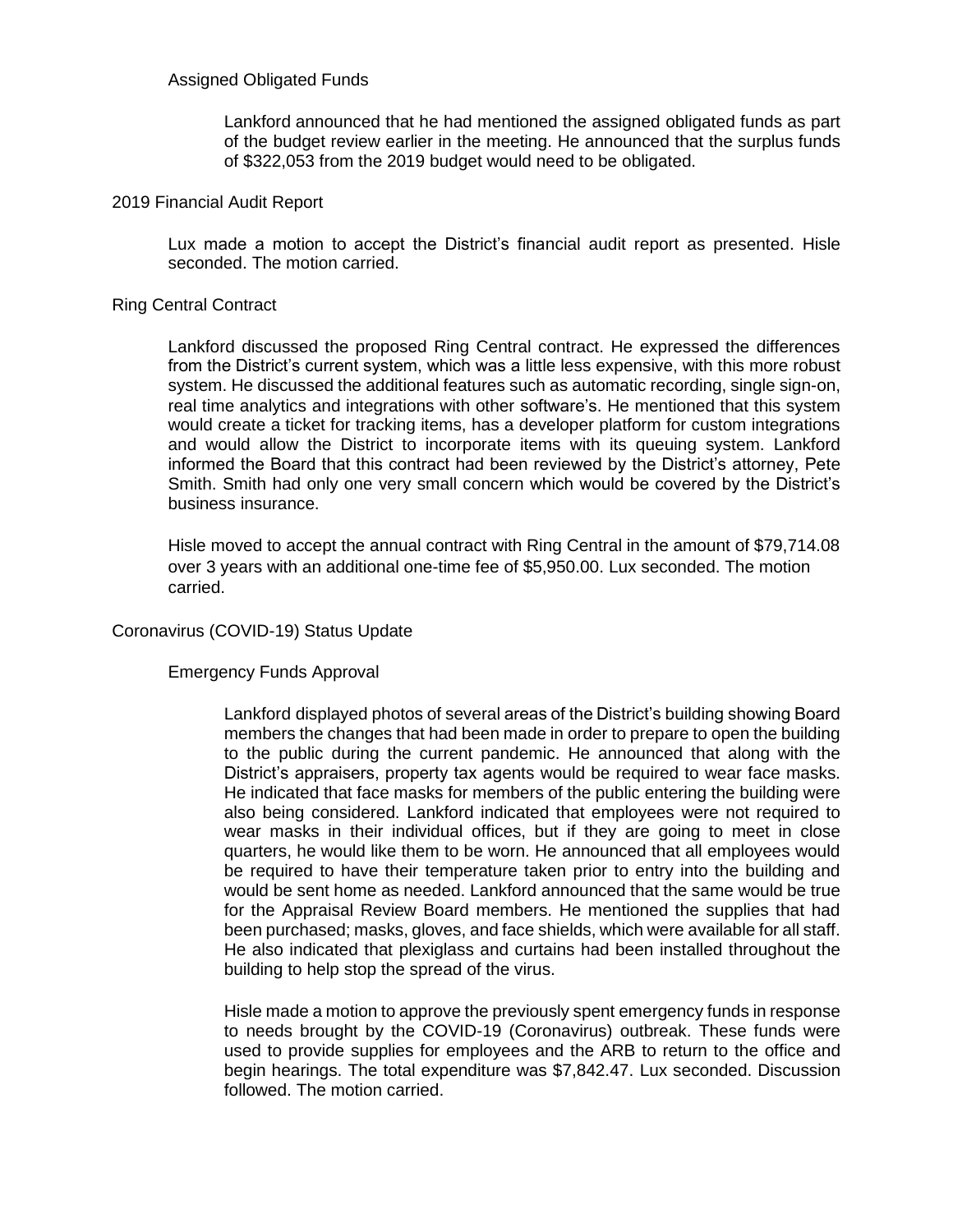### Assigned Obligated Funds

Lankford announced that he had mentioned the assigned obligated funds as part of the budget review earlier in the meeting. He announced that the surplus funds of \$322,053 from the 2019 budget would need to be obligated.

#### 2019 Financial Audit Report

Lux made a motion to accept the District's financial audit report as presented. Hisle seconded. The motion carried.

#### Ring Central Contract

Lankford discussed the proposed Ring Central contract. He expressed the differences from the District's current system, which was a little less expensive, with this more robust system. He discussed the additional features such as automatic recording, single sign-on, real time analytics and integrations with other software's. He mentioned that this system would create a ticket for tracking items, has a developer platform for custom integrations and would allow the District to incorporate items with its queuing system. Lankford informed the Board that this contract had been reviewed by the District's attorney, Pete Smith. Smith had only one very small concern which would be covered by the District's business insurance.

Hisle moved to accept the annual contract with Ring Central in the amount of \$79,714.08 over 3 years with an additional one-time fee of \$5,950.00. Lux seconded. The motion carried.

#### Coronavirus (COVID-19) Status Update

#### Emergency Funds Approval

Lankford displayed photos of several areas of the District's building showing Board members the changes that had been made in order to prepare to open the building to the public during the current pandemic. He announced that along with the District's appraisers, property tax agents would be required to wear face masks. He indicated that face masks for members of the public entering the building were also being considered. Lankford indicated that employees were not required to wear masks in their individual offices, but if they are going to meet in close quarters, he would like them to be worn. He announced that all employees would be required to have their temperature taken prior to entry into the building and would be sent home as needed. Lankford announced that the same would be true for the Appraisal Review Board members. He mentioned the supplies that had been purchased; masks, gloves, and face shields, which were available for all staff. He also indicated that plexiglass and curtains had been installed throughout the building to help stop the spread of the virus.

Hisle made a motion to approve the previously spent emergency funds in response to needs brought by the COVID-19 (Coronavirus) outbreak. These funds were used to provide supplies for employees and the ARB to return to the office and begin hearings. The total expenditure was \$7,842.47. Lux seconded. Discussion followed. The motion carried.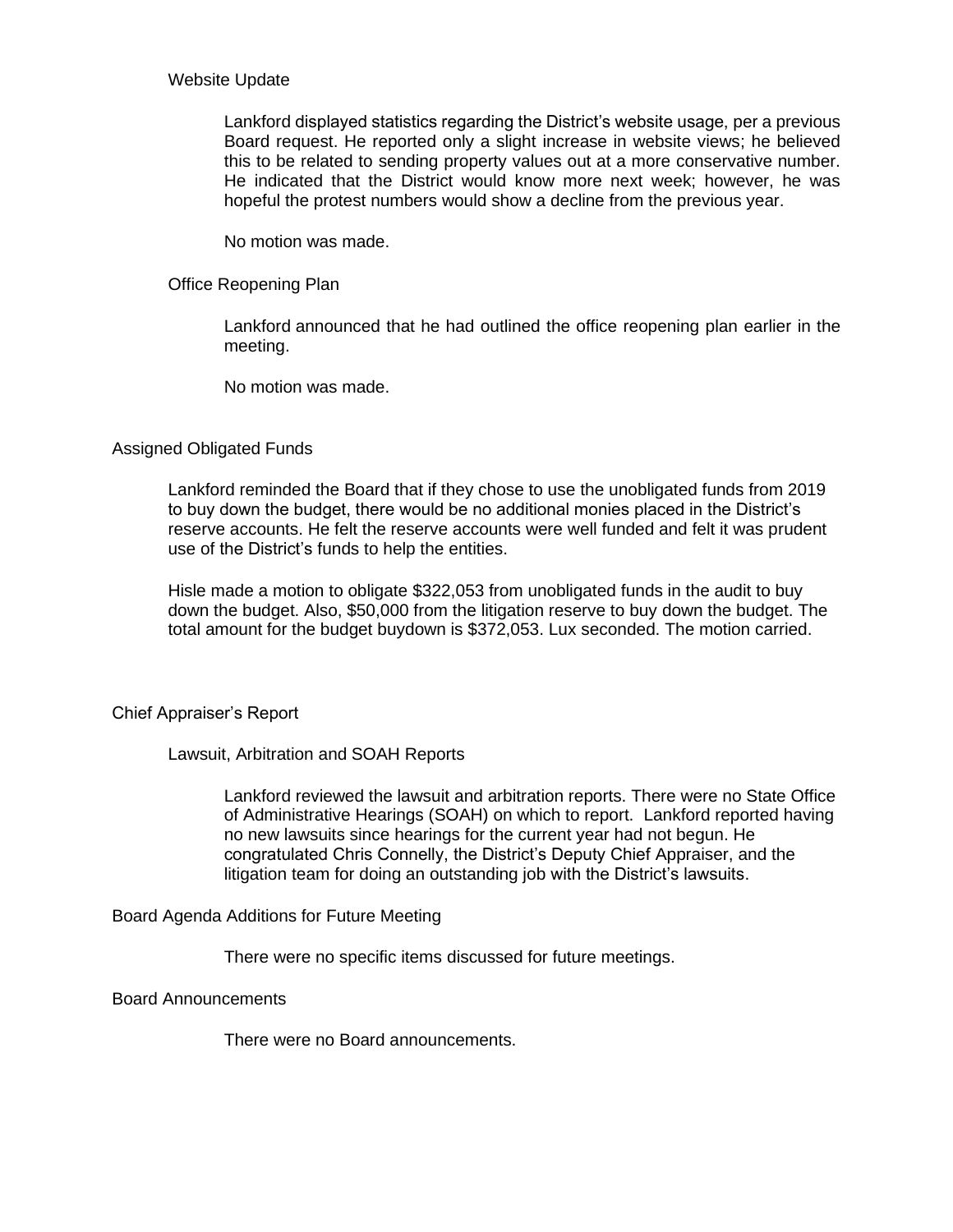#### Website Update

Lankford displayed statistics regarding the District's website usage, per a previous Board request. He reported only a slight increase in website views; he believed this to be related to sending property values out at a more conservative number. He indicated that the District would know more next week; however, he was hopeful the protest numbers would show a decline from the previous year.

No motion was made.

### Office Reopening Plan

Lankford announced that he had outlined the office reopening plan earlier in the meeting.

No motion was made.

#### Assigned Obligated Funds

Lankford reminded the Board that if they chose to use the unobligated funds from 2019 to buy down the budget, there would be no additional monies placed in the District's reserve accounts. He felt the reserve accounts were well funded and felt it was prudent use of the District's funds to help the entities.

Hisle made a motion to obligate \$322,053 from unobligated funds in the audit to buy down the budget. Also, \$50,000 from the litigation reserve to buy down the budget. The total amount for the budget buydown is \$372,053. Lux seconded. The motion carried.

#### Chief Appraiser's Report

#### Lawsuit, Arbitration and SOAH Reports

Lankford reviewed the lawsuit and arbitration reports. There were no State Office of Administrative Hearings (SOAH) on which to report. Lankford reported having no new lawsuits since hearings for the current year had not begun. He congratulated Chris Connelly, the District's Deputy Chief Appraiser, and the litigation team for doing an outstanding job with the District's lawsuits.

Board Agenda Additions for Future Meeting

There were no specific items discussed for future meetings.

Board Announcements

There were no Board announcements.